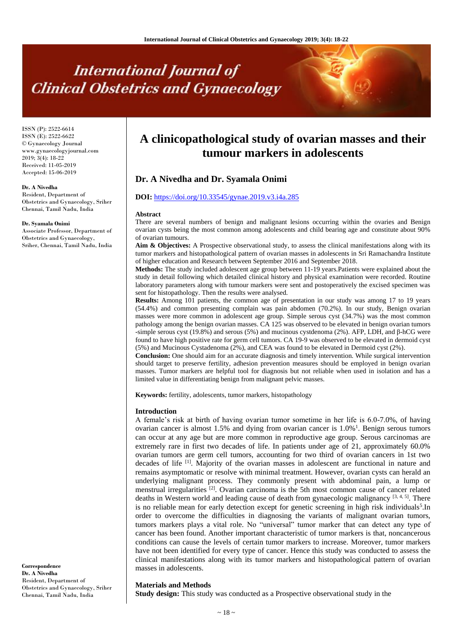# **International Journal of Clinical Obstetrics and Gynaecology**

ISSN (P): 2522-6614 ISSN (E): 2522-6622 © Gynaecology Journal www.gynaecologyjournal.com 2019; 3(4): 18-22 Received: 11-05-2019 Accepted: 15-06-2019

#### **Dr. A Nivedha**

Resident, Department of Obstetrics and Gynaecology, Sriher Chennai, Tamil Nadu, India

#### **Dr. Syamala Onimi**

Associate Professor, Department of Obstetrics and Gynaecology, Sriher, Chennai, Tamil Nadu, India

**Correspondence Dr. A Nivedha** Resident, Department of Obstetrics and Gynaecology, Sriher Chennai, Tamil Nadu, India

# **A clinicopathological study of ovarian masses and their tumour markers in adolescents**

# **Dr. A Nivedha and Dr. Syamala Onimi**

# **DOI:** <https://doi.org/10.33545/gynae.2019.v3.i4a.285>

#### **Abstract**

There are several numbers of benign and malignant lesions occurring within the ovaries and Benign ovarian cysts being the most common among adolescents and child bearing age and constitute about 90% of ovarian tumours.

**Aim & Objectives:** A Prospective observational study, to assess the clinical manifestations along with its tumor markers and histopathological pattern of ovarian masses in adolescents in Sri Ramachandra Institute of higher education and Research between September 2016 and September 2018.

**Methods:** The study included adolescent age group between 11-19 years.Patients were explained about the study in detail following which detailed clinical history and physical examination were recorded. Routine laboratory parameters along with tumour markers were sent and postoperatively the excised specimen was sent for histopathology. Then the results were analysed.

**Results:** Among 101 patients, the common age of presentation in our study was among 17 to 19 years (54.4%) and common presenting complain was pain abdomen (70.2%). In our study, Benign ovarian masses were more common in adolescent age group. Simple serous cyst (34.7%) was the most common pathology among the benign ovarian masses. CA 125 was observed to be elevated in benign ovarian tumors -simple serous cyst (19.8%) and serous (5%) and mucinous cystdenoma (2%). AFP, LDH, and β-hCG were found to have high positive rate for germ cell tumors. CA 19-9 was observed to be elevated in dermoid cyst (5%) and Mucinous Cystadenoma (2%), and CEA was found to be elevated in Dermoid cyst (2%).

**Conclusion:** One should aim for an accurate diagnosis and timely intervention. While surgical intervention should target to preserve fertility, adhesion prevention measures should be employed in benign ovarian masses. Tumor markers are helpful tool for diagnosis but not reliable when used in isolation and has a limited value in differentiating benign from malignant pelvic masses.

**Keywords:** fertility, adolescents, tumor markers, histopathology

#### **Introduction**

A female's risk at birth of having ovarian tumor sometime in her life is 6.0-7.0%, of having ovarian cancer is almost  $1.5\%$  and dying from ovarian cancer is  $1.0\%$ <sup>1</sup>. Benign serous tumors can occur at any age but are more common in reproductive age group. Serous carcinomas are extremely rare in first two decades of life. In patients under age of 21, approximately 60.0% ovarian tumors are germ cell tumors, accounting for two third of ovarian cancers in 1st two decades of life <sup>[1]</sup>. Majority of the ovarian masses in adolescent are functional in nature and remains asymptomatic or resolve with minimal treatment. However, ovarian cysts can herald an underlying malignant process. They commonly present with abdominal pain, a lump or menstrual irregularities <sup>[2]</sup>. Ovarian carcinoma is the 5th most common cause of cancer related deaths in Western world and leading cause of death from gynaecologic malignancy [3, 4, 5]. There is no reliable mean for early detection except for genetic screening in high risk individuals<sup>5</sup>. In order to overcome the difficulties in diagnosing the variants of malignant ovarian tumors, tumors markers plays a vital role. No "universal" tumor marker that can detect any type of cancer has been found. Another important characteristic of tumor markers is that, noncancerous conditions can cause the levels of certain tumor markers to increase. Moreover, tumor markers have not been identified for every type of cancer. Hence this study was conducted to assess the clinical manifestations along with its tumor markers and histopathological pattern of ovarian masses in adolescents.

# **Materials and Methods**

**Study design:** This study was conducted as a Prospective observational study in the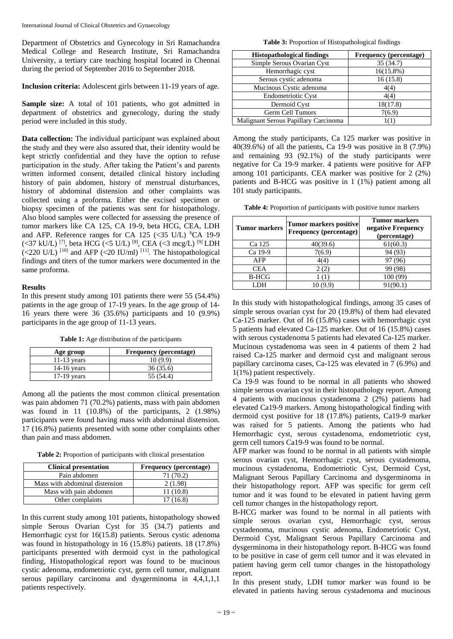Department of Obstetrics and Gynecology in Sri Ramachandra Medical College and Research Institute, Sri Ramachandra University, a tertiary care teaching hospital located in Chennai during the period of September 2016 to September 2018.

**Inclusion criteria:** Adolescent girls between 11-19 years of age.

**Sample size:** A total of 101 patients, who got admitted in department of obstetrics and gynecology, during the study period were included in this study.

**Data collection:** The individual participant was explained about the study and they were also assured that, their identity would be kept strictly confidential and they have the option to refuse participation in the study. After taking the Patient's and parents written informed consent, detailed clinical history including history of pain abdomen, history of menstrual disturbances, history of abdominal distension and other complaints was collected using a proforma. Either the excised specimen or biopsy specimen of the patients was sent for histopathology. Also blood samples were collected for assessing the presence of tumor markers like CA 125, CA 19-9, beta HCG, CEA, LDH and AFP. Reference ranges for CA 125 ( $\lt$ 35 U/L) <sup>6</sup>CA 19-9 (<37 kU/L) [7] , beta HCG (<5 U/L) [8] , CEA (<3 mcg/L) [9] LDH  $\left($  <220 U/L)<sup>[10]</sup> and AFP  $\left($  <20 IU/ml)<sup>[11]</sup>. The histopathological findings and titers of the tumor markers were documented in the same proforma.

## **Results**

In this present study among 101 patients there were 55 (54.4%) patients in the age group of 17-19 years. In the age group of 14- 16 years there were 36 (35.6%) participants and 10 (9.9%) participants in the age group of 11-13 years.

**Table 1:** Age distribution of the participants

| Age group     | <b>Frequency</b> (percentage) |
|---------------|-------------------------------|
| $11-13$ years | 10(9.9)                       |
| $14-16$ years | 36 (35.6)                     |
| $17-19$ years | 55 (54.4)                     |

Among all the patients the most common clinical presentation was pain abdomen 71 (70.2%) patients, mass with pain abdomen was found in 11 (10.8%) of the participants, 2 (1.98%) participants were found having mass with abdominal distension. 17 (16.8%) patients presented with some other complaints other than pain and mass abdomen.

**Table 2:** Proportion of participants with clinical presentation

| <b>Clinical presentation</b>   | Frequency (percentage) |
|--------------------------------|------------------------|
| Pain abdomen                   | 71 (70.2)              |
| Mass with abdominal distension | 2(1.98)                |
| Mass with pain abdomen         | 11(10.8)               |
| Other complaints               | 17(16.8)               |

In this current study among 101 patients, histopathology showed simple Serous Ovarian Cyst for 35 (34.7) patients and Hemorrhagic cyst for 16(15.8) patients. Serous cystic adenoma was found in histopathology in 16 (15.8%) patients. 18 (17.8%) participants presented with dermoid cyst in the pathological finding, Histopathological report was found to be mucinous cystic adenoma, endometriotic cyst, germ cell tumor, malignant serous papillary carcinoma and dysgerminoma in 4,4,1,1,1 patients respectively.

**Table 3:** Proportion of Histopathological findings

| <b>Histopathological findings</b>    | <b>Frequency</b> (percentage) |
|--------------------------------------|-------------------------------|
| Simple Serous Ovarian Cyst           | 35(34.7)                      |
| Hemorrhagic cyst                     | $16(15.8\%)$                  |
| Serous cystic adenoma                | 16(15.8)                      |
| Mucinous Cystic adenoma              | 4(4)                          |
| <b>Endometriotic Cyst</b>            | 4(4)                          |
| Dermoid Cyst                         | 18(17.8)                      |
| Germ Cell Tumors                     | 7(6.9)                        |
| Malignant Serous Papillary Carcinoma | 1(1)                          |

Among the study participants, Ca 125 marker was positive in 40(39.6%) of all the patients, Ca 19-9 was positive in 8 (7.9%) and remaining 93 (92.1%) of the study participants were negative for Ca 19-9 marker. 4 patients were positive for AFP among 101 participants. CEA marker was positive for 2 (2%) patients and B-HCG was positive in 1 (1%) patient among all 101 study participants.

**Table 4:** Proportion of participants with positive tumor markers

| <b>Tumor markers</b> | <b>Tumor markers positive</b><br><b>Frequency</b> (percentage) | <b>Tumor markers</b><br>negative Frequency<br>(percentage) |
|----------------------|----------------------------------------------------------------|------------------------------------------------------------|
| Ca 125               | 40(39.6)                                                       | 61(60.3)                                                   |
| Ca 19-9              | 7(6.9)                                                         | 94 (93)                                                    |
| AFP                  | 4(4)                                                           | 97 (96)                                                    |
| <b>CEA</b>           | 2(2)                                                           | 99 (98)                                                    |
| <b>B-HCG</b>         |                                                                | 100 (99)                                                   |
|                      |                                                                | 91(90.1)                                                   |

In this study with histopathological findings, among 35 cases of simple serous ovarian cyst for 20 (19.8%) of them had elevated Ca-125 marker. Out of 16 (15.8%) cases with hemorrhagic cyst 5 patients had elevated Ca-125 marker. Out of 16 (15.8%) cases with serous cystadenoma 5 patients had elevated Ca-125 marker. Mucinous cystadenoma was seen in 4 patients of them 2 had raised Ca-125 marker and dermoid cyst and malignant serous papillary carcinoma cases, Ca-125 was elevated in 7 (6.9%) and 1(1%) patient respectively.

Ca 19-9 was found to be normal in all patients who showed simple serous ovarian cyst in their histopathology report. Among 4 patients with mucinous cystadenoma 2 (2%) patients had elevated Ca19-9 markers. Among histopathological finding with dermoid cyst positive for 18 (17.8%) patients, Ca19-9 marker was raised for 5 patients. Among the patients who had Hemorrhagic cyst, serous cystadenoma, endometriotic cyst, germ cell tumors Ca19-9 was found to be normal.

AFP marker was found to be normal in all patients with simple serous ovarian cyst, Hemorrhagic cyst, serous cystadenoma, mucinous cystadenoma, Endometriotic Cyst, Dermoid Cyst, Malignant Serous Papillary Carcinoma and dysgerminoma in their histopathology report. AFP was specific for germ cell tumor and it was found to be elevated in patient having germ cell tumor changes in the histopathology report.

B-HCG marker was found to be normal in all patients with simple serous ovarian cyst, Hemorrhagic cyst, serous cystadenoma, mucinous cystic adenoma, Endometriotic Cyst, Dermoid Cyst, Malignant Serous Papillary Carcinoma and dysgerminoma in their histopathology report. B-HCG was found to be positive in case of germ cell tumor and it was elevated in patient having germ cell tumor changes in the histopathology report.

In this present study, LDH tumor marker was found to be elevated in patients having serous cystadenoma and mucinous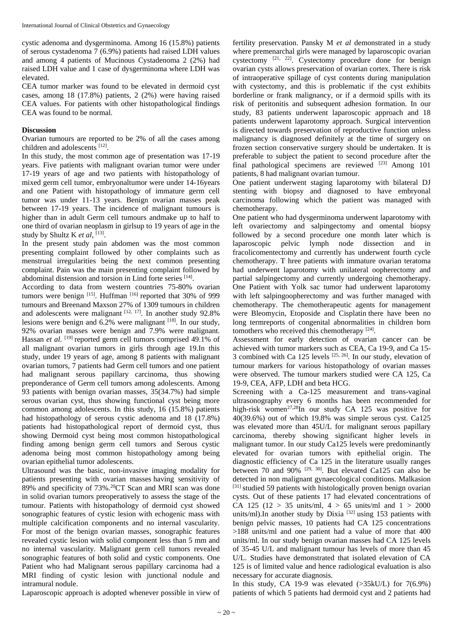cystic adenoma and dysgerminoma. Among 16 (15.8%) patients of serous cystadenoma 7 (6.9%) patients had raised LDH values and among 4 patients of Mucinous Cystadenoma 2 (2%) had raised LDH value and 1 case of dysgerminoma where LDH was elevated.

CEA tumor marker was found to be elevated in dermoid cyst cases, among 18 (17.8%) patients, 2 (2%) were having raised CEA values. For patients with other histopathological findings CEA was found to be normal.

# **Discussion**

Ovarian tumours are reported to be 2% of all the cases among children and adolescents [12].

In this study, the most common age of presentation was 17-19 years. Five patients with malignant ovarian tumor were under 17-19 years of age and two patients with histopathology of mixed germ cell tumor, embryonaltumor were under 14-16years and one Patient with histopathology of immature germ cell tumor was under 11-13 years. Benign ovarian masses peak between 17-19 years. The incidence of malignant tumours is higher than in adult Germ cell tumours andmake up to half to one third of ovarian neoplasm in girlsup to 19 years of age in the study by Shultz K et al, <sup>[13]</sup>.

In the present study pain abdomen was the most common presenting complaint followed by other complaints such as menstrual irregularities being the next common presenting complaint. Pain was the main presenting complaint followed by abdominal distension and torsion in Lind forte series [14].

According to data from western countries 75-80% ovarian tumors were benign [15]. Huffman [16] reported that 30% of 999 tumours and Breenand Maxson 27% of 1309 tumours in children and adolescents were malignant  $[12, 17]$ . In another study 92.8% lesions were benign and 6.2% were malignant [18]. In our study, 92% ovarian masses were benign and 7.9% were malignant. Hassan *et al.* <sup>[19]</sup> reported germ cell tumors comprised 49.1% of all malignant ovarian tumors in girls through age 19.In this study, under 19 years of age, among 8 patients with malignant ovarian tumors, 7 patients had Germ cell tumors and one patient had malignant serous papillary carcinoma, thus showing preponderance of Germ cell tumors among adolescents. Among 93 patients with benign ovarian masses, 35(34.7%) had simple serous ovarian cyst, thus showing functional cyst being more common among adolescents. In this study, 16 (15.8%) patients had histopathology of serous cystic adenoma and 18 (17.8%) patients had histopathological report of dermoid cyst, thus showing Dermoid cyst being most common histopathological finding among benign germ cell tumors and Serous cystic adenoma being most common histopathology among being ovarian epithelial tumor adolescents.

Ultrasound was the basic, non-invasive imaging modality for patients presenting with ovarian masses having sensitivity of 89% and specificity of 73%.<sup>20</sup>CT Scan and MRI scan was done in solid ovarian tumors preoperatively to assess the stage of the tumour. Patients with histopathology of dermoid cyst showed sonographic features of cystic lesion with echogenic mass with multiple calcification components and no internal vascularity. For most of the benign ovarian masses, sonographic features revealed cystic lesion with solid component less than 5 mm and no internal vascularity. Malignant germ cell tumors revealed sonographic features of both solid and cystic components. One Patient who had Malignant serous papillary carcinoma had a MRI finding of cystic lesion with junctional nodule and intramural nodule.

Laparoscopic approach is adopted whenever possible in view of

fertility preservation. Pansky M *et al* demonstrated in a study where premenarchal girls were managed by laparoscopic ovarian cystectomy <sup>[21, 22]</sup>. Cystectomy procedure done for benign ovarian cysts allows preservation of ovarian cortex. There is risk of intraoperative spillage of cyst contents during manipulation with cystectomy, and this is problematic if the cyst exhibits borderline or frank malignancy, or if a dermoid spills with its risk of peritonitis and subsequent adhesion formation. In our study, 83 patients underwent laparoscopic approach and 18 patients underwent laparotomy approach. Surgical intervention is directed towards preservation of reproductive function unless malignancy is diagnosed definitely at the time of surgery on frozen section conservative surgery should be undertaken. It is preferable to subject the patient to second procedure after the final pathological specimens are reviewed [23] Among 101 patients, 8 had malignant ovarian tumour.

One patient underwent staging laparotomy with bilateral DJ stenting with biopsy and diagnosed to have embryonal carcinoma following which the patient was managed with chemotherapy.

One patient who had dysgerminoma underwent laparotomy with left ovariectomy and salpingectomy and omental biopsy followed by a second procedure one month later which is laparoscopic pelvic lymph node dissection and in fracolicomentectomy and currently has underwent fourth cycle chemotherapy. T hree patients with immature ovarian teratoma had underwent laparotomy with unilateral oopherectomy and partial salpingectomy and currently undergoing chemotherapy. One Patient with Yolk sac tumor had underwent laparotomy with left salpingoopherectomy and was further managed with chemotherapy. The chemotherapeutic agents for management were Bleomycin, Etoposide and Cisplatin there have been no long termreports of congenital abnormalities in children born tomothers who received this chemotherapy [24].

Assessment for early detection of ovarian cancer can be achieved with tumor markers such as CEA, Ca 19-9, and Ca 15- 3 combined with Ca  $125$  levels  $[25, 26]$ . In our study, elevation of tumour markers for various histopathology of ovarian masses were observed. The tumour markers studied were CA 125, Ca 19-9, CEA, AFP, LDH and beta HCG.

Screening with a Ca-125 measurement and trans-vaginal ultrasonography every 6 months has been recommended for high-risk women<sup>27,28</sup>In our study CA 125 was positive for 40(39.6%) out of which 19.8% was simple serous cyst. Ca125 was elevated more than 45U/L for malignant serous papillary carcinoma, thereby showing significant higher levels in malignant tumor. In our study Ca125 levels were predominantly elevated for ovarian tumors with epithelial origin. The diagnostic efficiency of Ca 125 in the literature usually ranges between 70 and 90%  $[29, 30]$ . But elevated Ca125 can also be detected in non malignant gynaecological conditions. Malkasion [31] studied 59 patients with histologically proven benign ovarian cysts. Out of these patients 17 had elevated concentrations of CA 125 (12 > 35 units/ml,  $4 > 65$  units/ml and  $1 > 2000$ units/ml).In another study by Dixia<sup>[32]</sup> using 153 patients with benign pelvic masses, 10 patients had CA 125 concentrations >188 units/ml and one patient had a value of more that 400 units/ml. In our study benign ovarian masses had CA 125 levels of 35-45 U/L and malignant tumour has levels of more than 45 U/L. Studies have demonstrated that isolated elevation of CA 125 is of limited value and hence radiological evaluation is also necessary for accurate diagnosis.

In this study, CA 19-9 was elevated  $(>35kU/L)$  for 7(6.9%) patients of which 5 patients had dermoid cyst and 2 patients had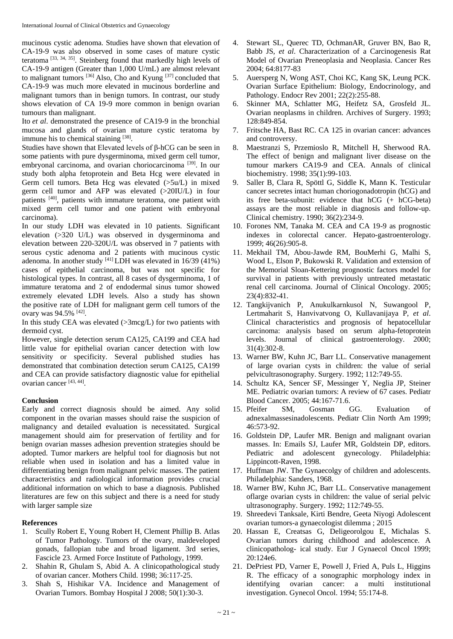mucinous cystic adenoma. Studies have shown that elevation of CA-19-9 was also observed in some cases of mature cystic teratoma<sup>[33, 34, 35]</sup>. Steinberg found that markedly high levels of CA-19-9 antigen (Greater than 1,000 U/mL) are almost relevant to malignant tumors <sup>[36]</sup> Also, Cho and Kyung <sup>[37]</sup> concluded that CA-19-9 was much more elevated in mucinous borderline and malignant tumors than in benign tumors. In contrast, our study shows elevation of CA 19-9 more common in benign ovarian tumours than malignant.

Ito *et al*. demonstrated the presence of CA19-9 in the bronchial mucosa and glands of ovarian mature cystic teratoma by immune his to chemical staining [38].

Studies have shown that Elevated levels of β-hCG can be seen in some patients with pure dysgerminoma, mixed germ cell tumor, embryonal carcinoma, and ovarian choriocarcinoma<sup>[39]</sup>. In our study both alpha fetoprotein and Beta Hcg were elevated in Germ cell tumors. Beta Hcg was elevated (>5u/L) in mixed germ cell tumor and AFP was elevated (>20IU/L) in four patients <sup>[40]</sup>, patients with immature teratoma, one patient with mixed germ cell tumor and one patient with embryonal carcinoma).

In our study LDH was elevated in 10 patients. Significant elevation (>320 U/L) was observed in dysgerminoma and elevation between 220-320U/L was observed in 7 patients with serous cystic adenoma and 2 patients with mucinous cystic adenoma. In another study  $[41]$  LDH was elevated in 16/39 (41%) cases of epithelial carcinoma, but was not specific for histological types. In contrast, all 8 cases of dysgerminoma, 1 of immature teratoma and 2 of endodermal sinus tumor showed extremely elevated LDH levels. Also a study has shown the positive rate of LDH for malignant germ cell tumors of the ovary was 94.5% [42].

In this study CEA was elevated (>3mcg/L) for two patients with dermoid cyst.

However, single detection serum CA125, CA199 and CEA had little value for epithelial ovarian cancer detection with low sensitivity or specificity. Several published studies has demonstrated that combination detection serum CA125, CA199 and CEA can provide satisfactory diagnostic value for epithelial ovarian cancer [43, 44] .

#### **Conclusion**

Early and correct diagnosis should be aimed. Any solid component in the ovarian masses should raise the suspicion of malignancy and detailed evaluation is necessitated. Surgical management should aim for preservation of fertility and for benign ovarian masses adhesion prevention strategies should be adopted. Tumor markers are helpful tool for diagnosis but not reliable when used in isolation and has a limited value in differentiating benign from malignant pelvic masses. The patient characteristics and radiological information provides crucial additional information on which to base a diagnosis. Published literatures are few on this subject and there is a need for study with larger sample size

## **References**

- 1. Scully Robert E, Young Robert H, Clement Phillip B. Atlas of Tumor Pathology. Tumors of the ovary, maldeveloped gonads, fallopian tube and broad ligament. 3rd series, Fascicle 23. Armed Force Institute of Pathology, 1999.
- 2. Shahin R, Ghulam S, Abid A. A clinicopathological study of ovarian cancer. Mothers Child. 1998; 36:117-25.
- 3. Shah S, Hishikar VA. Incidence and Management of Ovarian Tumors. Bombay Hospital J 2008; 50(1):30-3.
- 4. Stewart SL, Querec TD, OchmanAR, Gruver BN, Bao R, Babb JS, *et al*. Characterization of a Carcinogenesis Rat Model of Ovarian Preneoplasia and Neoplasia. Cancer Res 2004; 64:8177-83
- 5. Auersperg N, Wong AST, Choi KC, Kang SK, Leung PCK. Ovarian Surface Epithelium: Biology, Endocrinology, and Pathology. Endocr Rev 2001; 22(2):255-88.
- 6. Skinner MA, Schlatter MG, Heifetz SA, Grosfeld JL. Ovarian neoplasms in children. Archives of Surgery. 1993; 128:849-854.
- 7. Fritsche HA, Bast RC. CA 125 in ovarian cancer: advances and controversy.
- 8. Maestranzi S, Przemioslo R, Mitchell H, Sherwood RA. The effect of benign and malignant liver disease on the tumour markers CA19-9 and CEA. Annals of clinical biochemistry. 1998; 35(1):99-103.
- 9. Saller B, Clara R, Spöttl G, Siddle K, Mann K. Testicular cancer secretes intact human choriogonadotropin (hCG) and its free beta-subunit: evidence that hCG (+ hCG-beta) assays are the most reliable in diagnosis and follow-up. Clinical chemistry. 1990; 36(2):234-9.
- 10. Forones NM, Tanaka M. CEA and CA 19-9 as prognostic indexes in colorectal cancer. Hepato-gastroenterology. 1999; 46(26):905-8.
- 11. Mekhail TM, Abou-Jawde RM, BouMerhi G, Malhi S, Wood L, Elson P, Bukowski R. Validation and extension of the Memorial Sloan-Kettering prognostic factors model for survival in patients with previously untreated metastatic renal cell carcinoma. Journal of Clinical Oncology. 2005; 23(4):832-41.
- 12. Tangkijvanich P, Anukulkarnkusol N, Suwangool P, Lertmaharit S, Hanvivatvong O, Kullavanijaya P, *et al*. Clinical characteristics and prognosis of hepatocellular carcinoma: analysis based on serum alpha-fetoprotein levels. Journal of clinical gastroenterology. 2000; 31(4):302-8.
- 13. Warner BW, Kuhn JC, Barr LL. Conservative management of large ovarian cysts in children: the value of serial pelvicultrasonography. Surgery. 1992; 112:749-55.
- 14. Schultz KA, Sencer SF, Messinger Y, Neglia JP, Steiner ME. Pediatric ovarian tumors: A review of 67 cases. Pediatr Blood Cancer. 2005; 44:167-71.6.
- 15. Pfeifer SM, Gosman GG. Evaluation of adnexalmassesinadolescents. Pediatr Clin North Am 1999; 46:573-92.
- 16. Goldstein DP, Laufer MR. Benign and malignant ovarian masses. In: Emails SJ, Laufer MR, Goldstein DP, editors. Pediatric and adolescent gynecology. Philadelphia: Lippincott-Raven, 1998.
- 17. Huffman JW. The Gynaecolgy of children and adolescents. Philadelphia: Sanders, 1968.
- 18. Warner BW, Kuhn JC, Barr LL. Conservative management oflarge ovarian cysts in children: the value of serial pelvic ultrasonography. Surgery. 1992; 112:749-55.
- 19. Shreedevi Tanksale, Kirti Bendre, Geeta Niyogi Adolescent ovarian tumors-a gynaecologist dilemma ; 2015
- 20. Hassan E, Creatsas G, Deligeorolgou E, Michalas S. Ovarian tumors during childhood and adolescence. A clinicopatholog- ical study. Eur J Gynaecol Oncol 1999; 20:124e6.
- 21. DePriest PD, Varner E, Powell J, Fried A, Puls L, Higgins R. The efficacy of a sonographic morphology index in identifying ovarian cancer: a multi institutional investigation. Gynecol Oncol. 1994; 55:174-8.